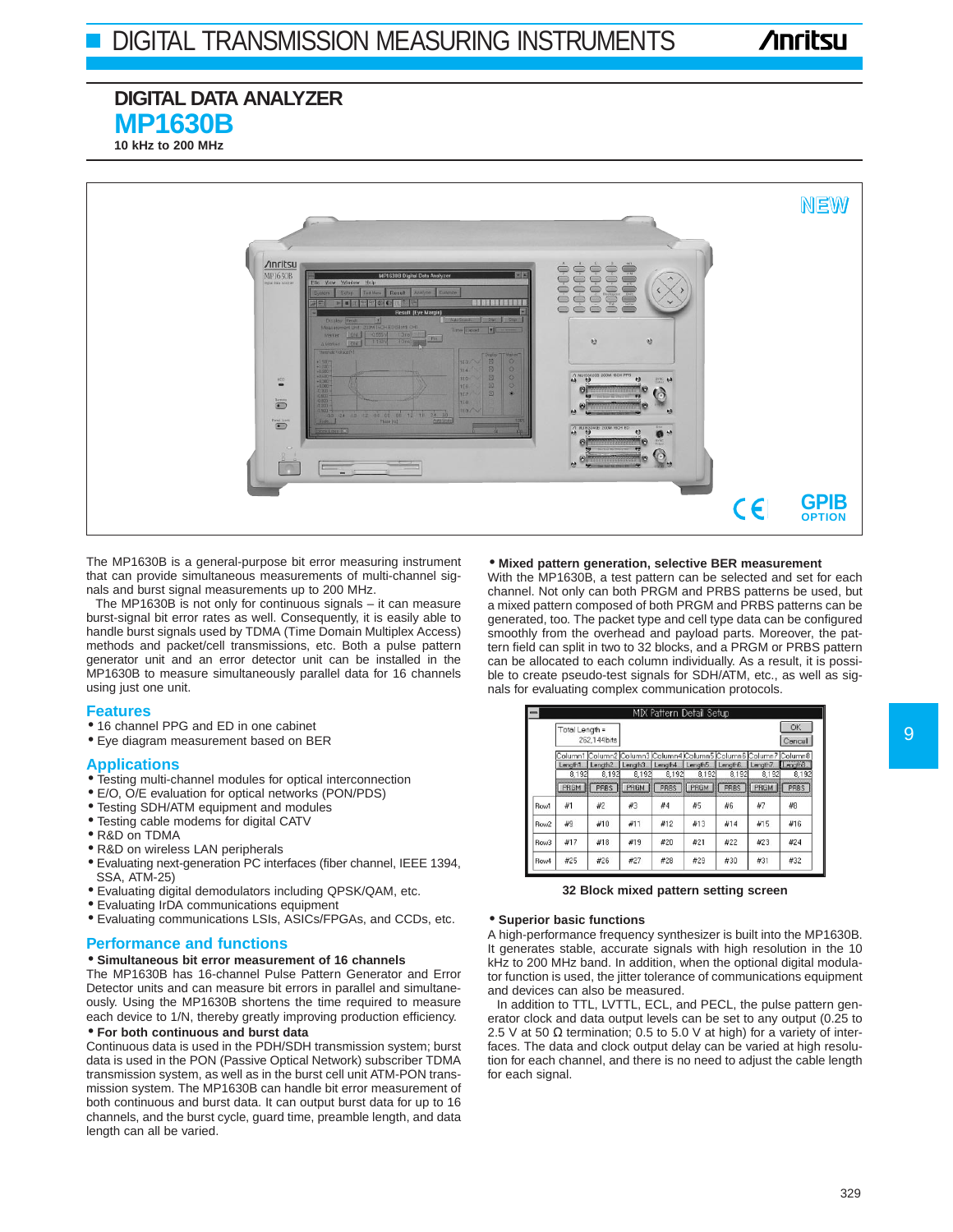# **DIGITAL DATA ANALYZER MP1630B**

**10 kHz to 200 MHz**



The MP1630B is a general-purpose bit error measuring instrument that can provide simultaneous measurements of multi-channel signals and burst signal measurements up to 200 MHz.

The MP1630B is not only for continuous signals – it can measure burst-signal bit error rates as well. Consequently, it is easily able to handle burst signals used by TDMA (Time Domain Multiplex Access) methods and packet/cell transmissions, etc. Both a pulse pattern generator unit and an error detector unit can be installed in the MP1630B to measure simultaneously parallel data for 16 channels using just one unit.

### **Features**

- 16 channel PPG and ED in one cabinet
- Eye diagram measurement based on BER

### **Applications**

- Testing multi-channel modules for optical interconnection
- E/O, O/E evaluation for optical networks (PON/PDS)
- Testing SDH/ATM equipment and modules
- Testing cable modems for digital CATV
- R&D on TDMA
- R&D on wireless LAN peripherals
- Evaluating next-generation PC interfaces (fiber channel, IEEE 1394, SSA, ATM-25)
- Evaluating digital demodulators including QPSK/QAM, etc.
- Evaluating IrDA communications equipment
- Evaluating communications LSIs, ASICs/FPGAs, and CCDs, etc.

#### **Performance and functions**

#### • **Simultaneous bit error measurement of 16 channels**

The MP1630B has 16-channel Pulse Pattern Generator and Error Detector units and can measure bit errors in parallel and simultaneously. Using the MP1630B shortens the time required to measure each device to 1/N, thereby greatly improving production efficiency.

#### • **For both continuous and burst data**

Continuous data is used in the PDH/SDH transmission system; burst data is used in the PON (Passive Optical Network) subscriber TDMA transmission system, as well as in the burst cell unit ATM-PON transmission system. The MP1630B can handle bit error measurement of both continuous and burst data. It can output burst data for up to 16 channels, and the burst cycle, guard time, preamble length, and data length can all be varied.

## • **Mixed pattern generation, selective BER measurement**

With the MP1630B, a test pattern can be selected and set for each channel. Not only can both PRGM and PRBS patterns be used, but a mixed pattern composed of both PRGM and PRBS patterns can be generated, too. The packet type and cell type data can be configured smoothly from the overhead and payload parts. Moreover, the pattern field can split in two to 32 blocks, and a PRGM or PRBS pattern can be allocated to each column individually. As a result, it is possible to create pseudo-test signals for SDH/ATM, etc., as well as signals for evaluating complex communication protocols.

|                  |                                |                                                                                        |               |               | MIX Pattern Detail Setup         |                      |               |                     |
|------------------|--------------------------------|----------------------------------------------------------------------------------------|---------------|---------------|----------------------------------|----------------------|---------------|---------------------|
|                  | Total Length =<br>262,144 bits |                                                                                        |               |               |                                  |                      |               | OK<br>Cancel        |
|                  | Length1                        | Column1 Column2 Column3 Column4 Column5 Column6 Column7 Column8<br>Length <sub>2</sub> |               |               | Length3 Length4 Length5 Length6. |                      | Length7       | Length <sub>8</sub> |
|                  | 8.192<br>PRGM                  | 8.192<br><b>PRBS</b>                                                                   | 8.192<br>PRGM | 8.192<br>PRBS | 8.192<br>PRGM                    | 8.192<br><b>PRBS</b> | 8.192<br>PRGM | 8.192<br>PRBS       |
| Row1             | #1                             | #2                                                                                     | #3            | #4            | #5                               | #6                   | #7            | #8                  |
| Row <sub>2</sub> | #9                             | #10                                                                                    | #11           | #12           | #13                              | #14                  | #15           | #16                 |
| Row <sub>3</sub> | #17                            | #18                                                                                    | #19           | #20           | #21                              | #22                  | #23           | #24                 |
| Row4             | #25                            | #26                                                                                    | #27           | #28           | #29                              | #30                  | #31           | #32                 |

#### **32 Block mixed pattern setting screen**

#### • **Superior basic functions**

A high-performance frequency synthesizer is built into the MP1630B. It generates stable, accurate signals with high resolution in the 10 kHz to 200 MHz band. In addition, when the optional digital modulator function is used, the jitter tolerance of communications equipment and devices can also be measured.

In addition to TTL, LVTTL, ECL, and PECL, the pulse pattern generator clock and data output levels can be set to any output (0.25 to 2.5 V at 50  $\Omega$  termination; 0.5 to 5.0 V at high) for a variety of interfaces. The data and clock output delay can be varied at high resolution for each channel, and there is no need to adjust the cable length for each signal.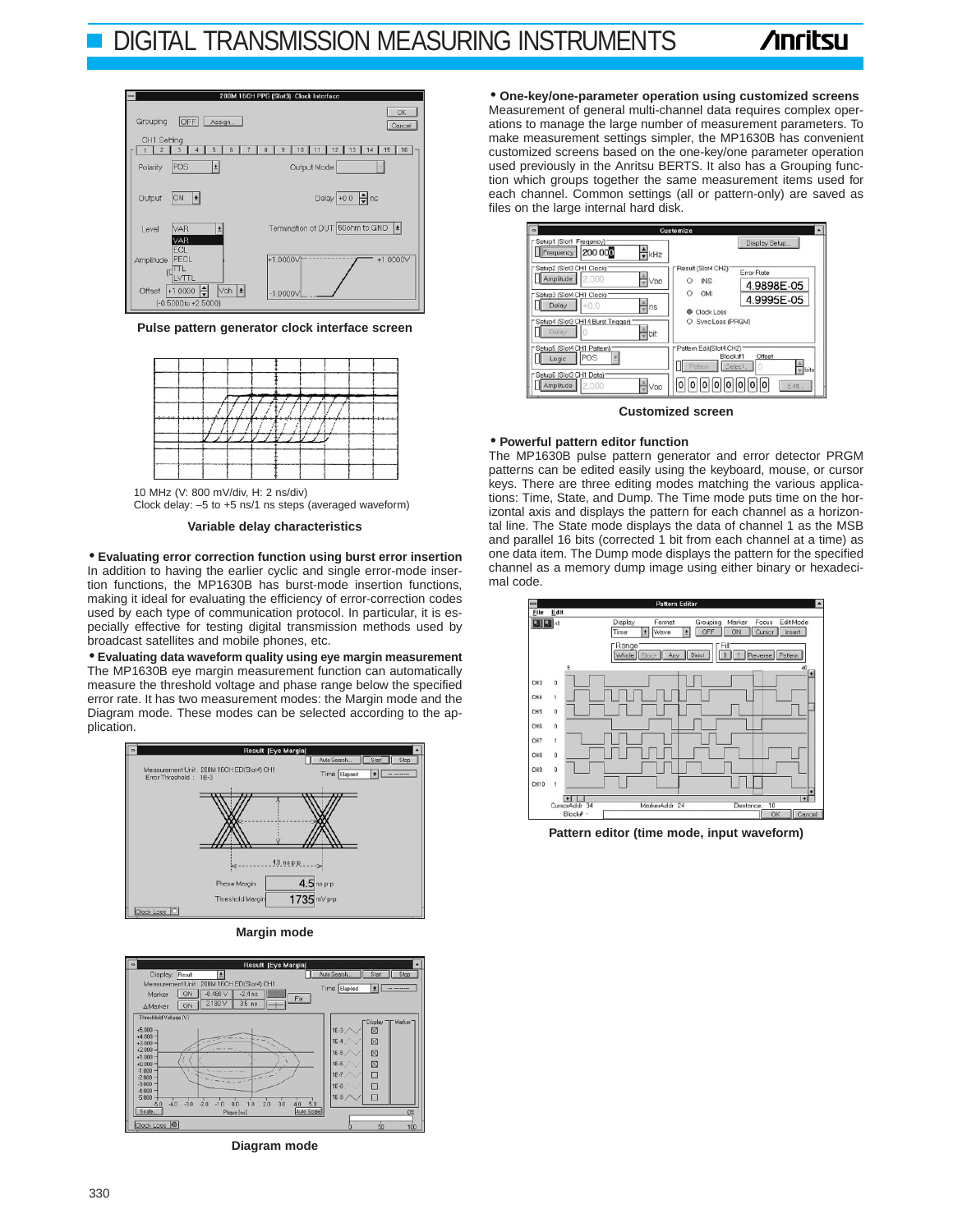# DIGITAL TRANSMISSION MEASURING INSTRUMENTS



**Pulse pattern generator clock interface screen** 



10 MHz (V: 800 mV/div, H: 2 ns/div) Clock delay: –5 to +5 ns/1 ns steps (averaged waveform)



• **Evaluating error correction function using burst error insertion**  In addition to having the earlier cyclic and single error-mode insertion functions, the MP1630B has burst-mode insertion functions, making it ideal for evaluating the efficiency of error-correction codes used by each type of communication protocol. In particular, it is especially effective for testing digital transmission methods used by broadcast satellites and mobile phones, etc.

• **Evaluating data waveform quality using eye margin measurement**  The MP1630B eye margin measurement function can automatically measure the threshold voltage and phase range below the specified error rate. It has two measurement modes: the Margin mode and the Diagram mode. These modes can be selected according to the application.







**Diagram mode** 

• **One-key/one-parameter operation using customized screens**  Measurement of general multi-channel data requires complex operations to manage the large number of measurement parameters. To make measurement settings simpler, the MP1630B has convenient customized screens based on the one-key/one parameter operation used previously in the Anritsu BERTS. It also has a Grouping function which groups together the same measurement items used for each channel. Common settings (all or pattern-only) are saved as files on the large internal hard disk.

|                                                                         | Customize                                                                    |
|-------------------------------------------------------------------------|------------------------------------------------------------------------------|
| [Setup1 (Slot1 Freqency):<br>$\frac{1}{2}$ kHz<br>200 000<br>Frequency  | Display Setup                                                                |
| Setup2 (Slot3 CH1 Clock)<br>Amplitude<br>2.000<br>Vpp                   | Result (Slot4 CH2)<br>Error Rate<br><b>INS</b><br>Ω<br>4.9898E-05            |
| Setup3 (Slot4 CH1 Clock)<br>Delay<br>$+0.0$<br>$\frac{1}{2}$ ns         | OM<br>Ο<br>4.9995E-05<br>Clock Loss                                          |
| "Setup4 (Slot3 CH14 Burst Trigger)<br>Delay<br>$\frac{a}{\sqrt{2}}$ bit | Sync Loss (PRGM)                                                             |
| Setup5 (Slot4 CH1 Pattern)<br>POS<br>Logic                              | Pattern Edit(Slot4 CH2)<br>Block:#1<br>Offset<br>Select<br>Pattern<br>w bits |
| "Setup6 (Slot3 CH1 Data)<br>Amplitude<br>2.000<br>Vpp                   | 0  0  0  0<br> 0  0  0 <br>10<br>Edit.                                       |

**Customized screen**

#### • **Powerful pattern editor function**

The MP1630B pulse pattern generator and error detector PRGM patterns can be edited easily using the keyboard, mouse, or cursor keys. There are three editing modes matching the various applications: Time, State, and Dump. The Time mode puts time on the horizontal axis and displays the pattern for each channel as a horizontal line. The State mode displays the data of channel 1 as the MSB and parallel 16 bits (corrected 1 bit from each channel at a time) as one data item. The Dump mode displays the pattern for the specified channel as a memory dump image using either binary or hexadecimal code.



**Pattern editor (time mode, input waveform)**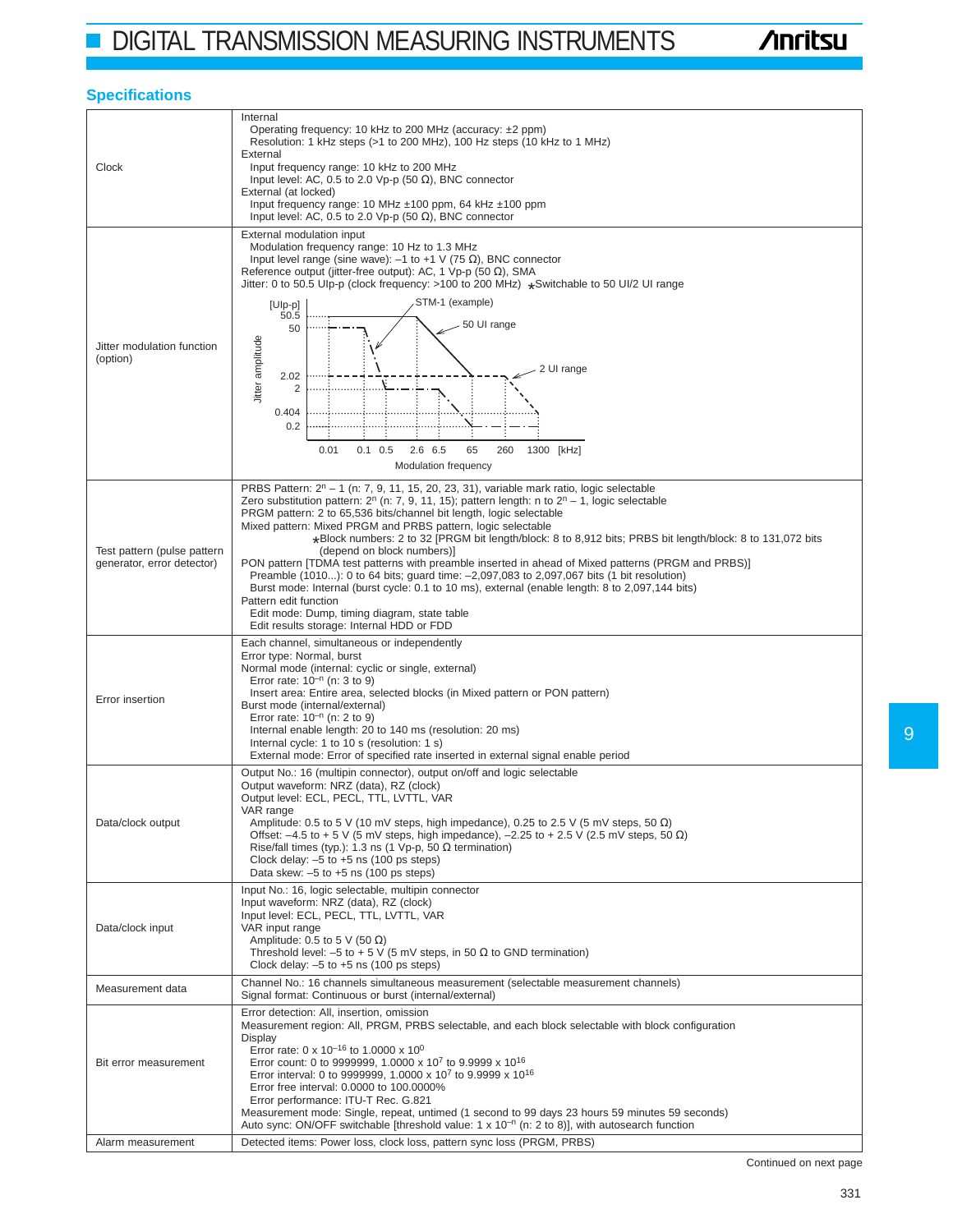## **Specifications**

| Clock                                                     | Internal<br>Operating frequency: 10 kHz to 200 MHz (accuracy: ±2 ppm)<br>Resolution: 1 kHz steps (>1 to 200 MHz), 100 Hz steps (10 kHz to 1 MHz)<br>External<br>Input frequency range: 10 kHz to 200 MHz<br>Input level: AC, 0.5 to 2.0 Vp-p (50 $\Omega$ ), BNC connector<br>External (at locked)<br>Input frequency range: 10 MHz $\pm$ 100 ppm, 64 kHz $\pm$ 100 ppm<br>Input level: AC, 0.5 to 2.0 Vp-p (50 $\Omega$ ), BNC connector                                                                                                                                                                                                                                                                                                                                                                                                                                                                                       |  |  |  |
|-----------------------------------------------------------|---------------------------------------------------------------------------------------------------------------------------------------------------------------------------------------------------------------------------------------------------------------------------------------------------------------------------------------------------------------------------------------------------------------------------------------------------------------------------------------------------------------------------------------------------------------------------------------------------------------------------------------------------------------------------------------------------------------------------------------------------------------------------------------------------------------------------------------------------------------------------------------------------------------------------------|--|--|--|
| Jitter modulation function<br>(option)                    | External modulation input<br>Modulation frequency range: 10 Hz to 1.3 MHz<br>Input level range (sine wave): $-1$ to +1 V (75 $\Omega$ ), BNC connector<br>Reference output (jitter-free output): AC, 1 Vp-p (50 $\Omega$ ), SMA<br>Jitter: 0 to 50.5 Ulp-p (clock frequency: >100 to 200 MHz) *Switchable to 50 Ul/2 UI range<br>STM-1 (example)<br>$[U p-p]$<br>50.5<br>50 UI range<br>50<br>Jitter amplitude<br>2 UI range<br>2.02<br>2<br>0.404<br>0.2<br>2.6 6.5<br>65<br>0.01<br>$0.1 \quad 0.5$<br>260<br>1300 [kHz]<br>Modulation frequency                                                                                                                                                                                                                                                                                                                                                                              |  |  |  |
| Test pattern (pulse pattern<br>generator, error detector) | PRBS Pattern: $2^n - 1$ (n: 7, 9, 11, 15, 20, 23, 31), variable mark ratio, logic selectable<br>Zero substitution pattern: 2 <sup>n</sup> (n: 7, 9, 11, 15); pattern length: n to $2^{n} - 1$ , logic selectable<br>PRGM pattern: 2 to 65,536 bits/channel bit length, logic selectable<br>Mixed pattern: Mixed PRGM and PRBS pattern, logic selectable<br>*Block numbers: 2 to 32 [PRGM bit length/block: 8 to 8,912 bits; PRBS bit length/block: 8 to 131,072 bits<br>(depend on block numbers)]<br>PON pattern [TDMA test patterns with preamble inserted in ahead of Mixed patterns (PRGM and PRBS)]<br>Preamble (1010): 0 to 64 bits; guard time: -2,097,083 to 2,097,067 bits (1 bit resolution)<br>Burst mode: Internal (burst cycle: 0.1 to 10 ms), external (enable length: 8 to 2,097,144 bits)<br>Pattern edit function<br>Edit mode: Dump, timing diagram, state table<br>Edit results storage: Internal HDD or FDD |  |  |  |
| Error insertion                                           | Each channel, simultaneous or independently<br>Error type: Normal, burst<br>Normal mode (internal: cyclic or single, external)<br>Error rate: $10^{-n}$ (n: 3 to 9)<br>Insert area: Entire area, selected blocks (in Mixed pattern or PON pattern)<br>Burst mode (internal/external)<br>Error rate: $10^{-n}$ (n: 2 to 9)<br>Internal enable length: 20 to 140 ms (resolution: 20 ms)<br>Internal cycle: 1 to 10 s (resolution: 1 s)<br>External mode: Error of specified rate inserted in external signal enable period                                                                                                                                                                                                                                                                                                                                                                                                        |  |  |  |
| Data/clock output                                         | Output No.: 16 (multipin connector), output on/off and logic selectable<br>Output waveform: NRZ (data), RZ (clock)<br>Output level: ECL, PECL, TTL, LVTTL, VAR<br>VAR range<br>Amplitude: 0.5 to 5 V (10 mV steps, high impedance), 0.25 to 2.5 V (5 mV steps, 50 $\Omega$ )<br>Offset: $-4.5$ to + 5 V (5 mV steps, high impedance), $-2.25$ to + 2.5 V (2.5 mV steps, 50 $\Omega$ )<br>Rise/fall times (typ.): 1.3 ns (1 Vp-p, 50 $\Omega$ termination)<br>Clock delay: $-5$ to $+5$ ns (100 ps steps)<br>Data skew: $-5$ to $+5$ ns (100 ps steps)                                                                                                                                                                                                                                                                                                                                                                           |  |  |  |
| Data/clock input                                          | Input No.: 16, logic selectable, multipin connector<br>Input waveform: NRZ (data), RZ (clock)<br>Input level: ECL, PECL, TTL, LVTTL, VAR<br>VAR input range<br>Amplitude: 0.5 to 5 V (50 $\Omega$ )<br>Threshold level: $-5$ to $+5$ V (5 mV steps, in 50 $\Omega$ to GND termination)<br>Clock delay: $-5$ to $+5$ ns (100 ps steps)                                                                                                                                                                                                                                                                                                                                                                                                                                                                                                                                                                                           |  |  |  |
| Measurement data                                          | Channel No.: 16 channels simultaneous measurement (selectable measurement channels)<br>Signal format: Continuous or burst (internal/external)                                                                                                                                                                                                                                                                                                                                                                                                                                                                                                                                                                                                                                                                                                                                                                                   |  |  |  |
| Bit error measurement                                     | Error detection: All, insertion, omission<br>Measurement region: All, PRGM, PRBS selectable, and each block selectable with block configuration<br>Display<br>Error rate: 0 x 10 <sup>-16</sup> to 1.0000 x 10 <sup>0</sup><br>Error count: 0 to 9999999, 1.0000 x 10 <sup>7</sup> to 9.9999 x 10 <sup>16</sup><br>Error interval: 0 to 9999999, 1.0000 x 10 <sup>7</sup> to 9.9999 x 10 <sup>16</sup><br>Error free interval: 0.0000 to 100.0000%<br>Error performance: ITU-T Rec. G.821<br>Measurement mode: Single, repeat, untimed (1 second to 99 days 23 hours 59 minutes 59 seconds)<br>Auto sync: ON/OFF switchable [threshold value: 1 x 10 <sup>-n</sup> (n: 2 to 8)], with autosearch function                                                                                                                                                                                                                       |  |  |  |
| Alarm measurement                                         | Detected items: Power loss, clock loss, pattern sync loss (PRGM, PRBS)                                                                                                                                                                                                                                                                                                                                                                                                                                                                                                                                                                                                                                                                                                                                                                                                                                                          |  |  |  |

Continued on next page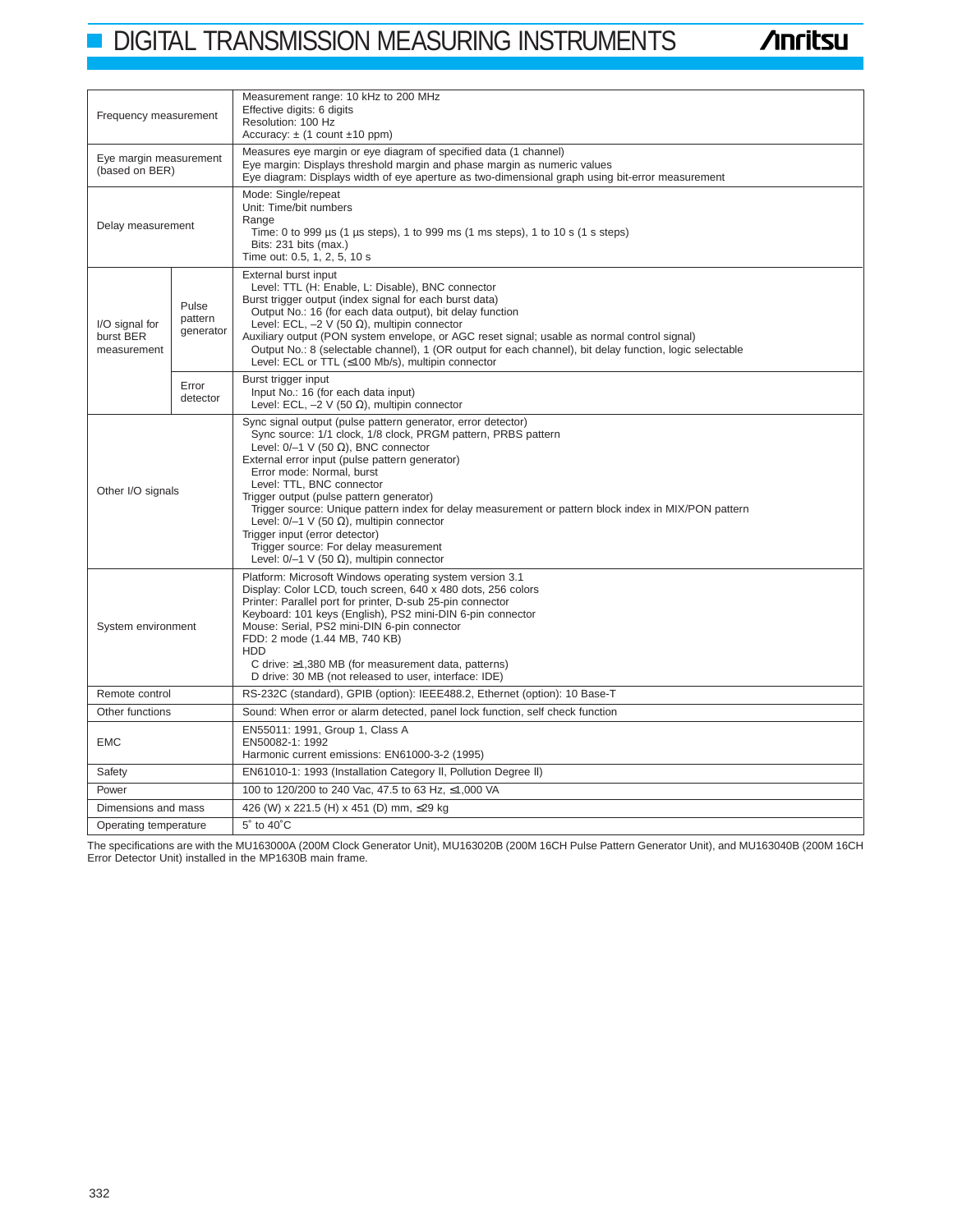# **DIGITAL TRANSMISSION MEASURING INSTRUMENTS**

**/inritsu** 

| Frequency measurement                      |                               | Measurement range: 10 kHz to 200 MHz<br>Effective digits: 6 digits<br>Resolution: 100 Hz<br>Accuracy: $\pm$ (1 count $\pm$ 10 ppm)                                                                                                                                                                                                                                                                                                                                                                                                                                                                                                    |  |  |  |  |
|--------------------------------------------|-------------------------------|---------------------------------------------------------------------------------------------------------------------------------------------------------------------------------------------------------------------------------------------------------------------------------------------------------------------------------------------------------------------------------------------------------------------------------------------------------------------------------------------------------------------------------------------------------------------------------------------------------------------------------------|--|--|--|--|
| Eye margin measurement<br>(based on BER)   |                               | Measures eye margin or eye diagram of specified data (1 channel)<br>Eye margin: Displays threshold margin and phase margin as numeric values<br>Eye diagram: Displays width of eye aperture as two-dimensional graph using bit-error measurement                                                                                                                                                                                                                                                                                                                                                                                      |  |  |  |  |
| Delay measurement                          |                               | Mode: Single/repeat<br>Unit: Time/bit numbers<br>Range<br>Time: 0 to 999 us (1 us steps), 1 to 999 ms (1 ms steps), 1 to 10 s (1 s steps)<br>Bits: 231 bits (max.)<br>Time out: 0.5, 1, 2, 5, 10 s                                                                                                                                                                                                                                                                                                                                                                                                                                    |  |  |  |  |
| I/O signal for<br>burst BER<br>measurement | Pulse<br>pattern<br>generator | External burst input<br>Level: TTL (H: Enable, L: Disable), BNC connector<br>Burst trigger output (index signal for each burst data)<br>Output No.: 16 (for each data output), bit delay function<br>Level: ECL, $-2$ V (50 $\Omega$ ), multipin connector<br>Auxiliary output (PON system envelope, or AGC reset signal; usable as normal control signal)<br>Output No.: 8 (selectable channel), 1 (OR output for each channel), bit delay function, logic selectable<br>Level: ECL or TTL (≤100 Mb/s), multipin connector                                                                                                           |  |  |  |  |
|                                            | Error<br>detector             | Burst trigger input<br>Input No.: 16 (for each data input)<br>Level: ECL, $-2 \vee (50 \Omega)$ , multipin connector                                                                                                                                                                                                                                                                                                                                                                                                                                                                                                                  |  |  |  |  |
| Other I/O signals                          |                               | Sync signal output (pulse pattern generator, error detector)<br>Sync source: 1/1 clock, 1/8 clock, PRGM pattern, PRBS pattern<br>Level: $0/-1$ V (50 $\Omega$ ), BNC connector<br>External error input (pulse pattern generator)<br>Error mode: Normal, burst<br>Level: TTL, BNC connector<br>Trigger output (pulse pattern generator)<br>Trigger source: Unique pattern index for delay measurement or pattern block index in MIX/PON pattern<br>Level: $0/-1$ V (50 $\Omega$ ), multipin connector<br>Trigger input (error detector)<br>Trigger source: For delay measurement<br>Level: $0/-1$ V (50 $\Omega$ ), multipin connector |  |  |  |  |
| System environment                         |                               | Platform: Microsoft Windows operating system version 3.1<br>Display: Color LCD, touch screen, 640 x 480 dots, 256 colors<br>Printer: Parallel port for printer, D-sub 25-pin connector<br>Keyboard: 101 keys (English), PS2 mini-DIN 6-pin connector<br>Mouse: Serial, PS2 mini-DIN 6-pin connector<br>FDD: 2 mode (1.44 MB, 740 KB)<br><b>HDD</b><br>C drive: $\geq$ 1,380 MB (for measurement data, patterns)<br>D drive: 30 MB (not released to user, interface: IDE)                                                                                                                                                              |  |  |  |  |
| Remote control                             |                               | RS-232C (standard), GPIB (option): IEEE488.2, Ethernet (option): 10 Base-T                                                                                                                                                                                                                                                                                                                                                                                                                                                                                                                                                            |  |  |  |  |
| Other functions                            |                               | Sound: When error or alarm detected, panel lock function, self check function                                                                                                                                                                                                                                                                                                                                                                                                                                                                                                                                                         |  |  |  |  |
| <b>EMC</b>                                 |                               | EN55011: 1991, Group 1, Class A<br>EN50082-1: 1992<br>Harmonic current emissions: EN61000-3-2 (1995)                                                                                                                                                                                                                                                                                                                                                                                                                                                                                                                                  |  |  |  |  |
| Safety                                     |                               | EN61010-1: 1993 (Installation Category II, Pollution Degree II)                                                                                                                                                                                                                                                                                                                                                                                                                                                                                                                                                                       |  |  |  |  |
| Power                                      |                               | 100 to 120/200 to 240 Vac, 47.5 to 63 Hz, ≤1,000 VA                                                                                                                                                                                                                                                                                                                                                                                                                                                                                                                                                                                   |  |  |  |  |
| Dimensions and mass                        |                               | 426 (W) x 221.5 (H) x 451 (D) mm, ≤29 kg                                                                                                                                                                                                                                                                                                                                                                                                                                                                                                                                                                                              |  |  |  |  |
| Operating temperature                      |                               | 5° to 40°C                                                                                                                                                                                                                                                                                                                                                                                                                                                                                                                                                                                                                            |  |  |  |  |

The specifications are with the MU163000A (200M Clock Generator Unit), MU163020B (200M 16CH Pulse Pattern Generator Unit), and MU163040B (200M 16CH Error Detector Unit) installed in the MP1630B main frame.